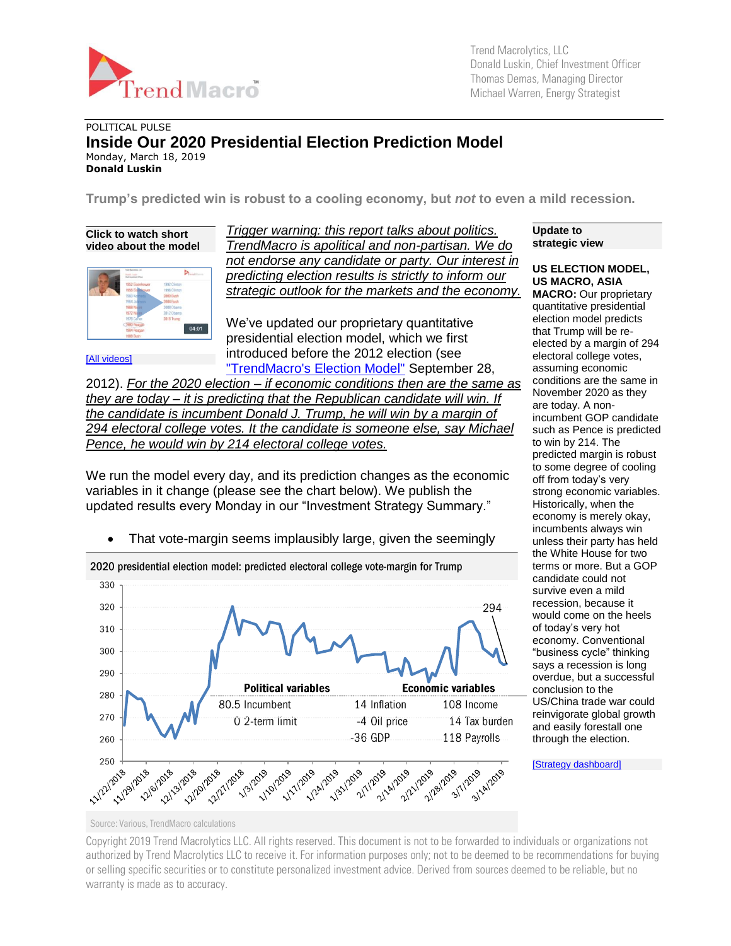

Trend Macrolytics, LLC Donald Luskin, Chief Investment Officer Thomas Demas, Managing Director Michael Warren, Energy Strategist

## POLITICAL PULSE **Inside Our 2020 Presidential Election Prediction Model** Monday, March 18, 2019 **Donald Luskin**

**Trump's predicted win is robust to a cooling economy, but** *not* **to even a mild recession.**

**Click to watch short video about the model**



[\[All videos\]](http://trendmacro.com/videos)

*Trigger warning: this report talks about politics. TrendMacro is apolitical and non-partisan. We do not endorse any candidate or party. Our interest in predicting election results is strictly to inform our strategic outlook for the markets and the economy.*

We've updated our proprietary quantitative presidential election model, which we first introduced before the 2012 election (see ["TrendMacro's Election Model"](http://tmac.ro/OtrAmW) September 28,

2012). *For the 2020 election – if economic conditions then are the same as they are today – it is predicting that the Republican candidate will win. If the candidate is incumbent Donald J. Trump, he will win by a margin of 294 electoral college votes. It the candidate is someone else, say Michael Pence, he would win by 214 electoral college votes.*

We run the model every day, and its prediction changes as the economic variables in it change (please see the chart below). We publish the updated results every Monday in our "Investment Strategy Summary."

• That vote-margin seems implausibly large, given the seemingly



**Update to strategic view**

**US ELECTION MODEL, US MACRO, ASIA MACRO:** Our proprietary quantitative presidential election model predicts that Trump will be reelected by a margin of 294 electoral college votes, assuming economic conditions are the same in November 2020 as they are today. A nonincumbent GOP candidate such as Pence is predicted to win by 214. The predicted margin is robust to some degree of cooling off from today's very strong economic variables. Historically, when the economy is merely okay, incumbents always win unless their party has held the White House for two terms or more. But a GOP candidate could not survive even a mild recession, because it would come on the heels of today's very hot economy. Conventional "business cycle" thinking says a recession is long overdue, but a successful conclusion to the US/China trade war could reinvigorate global growth and easily forestall one through the election.

[\[Strategy dashboard\]](http://trendmacro.com/strategy)

Source: Various, TrendMacro calculations

Copyright 2019 Trend Macrolytics LLC. All rights reserved. This document is not to be forwarded to individuals or organizations not authorized by Trend Macrolytics LLC to receive it. For information purposes only; not to be deemed to be recommendations for buying or selling specific securities or to constitute personalized investment advice. Derived from sources deemed to be reliable, but no warranty is made as to accuracy.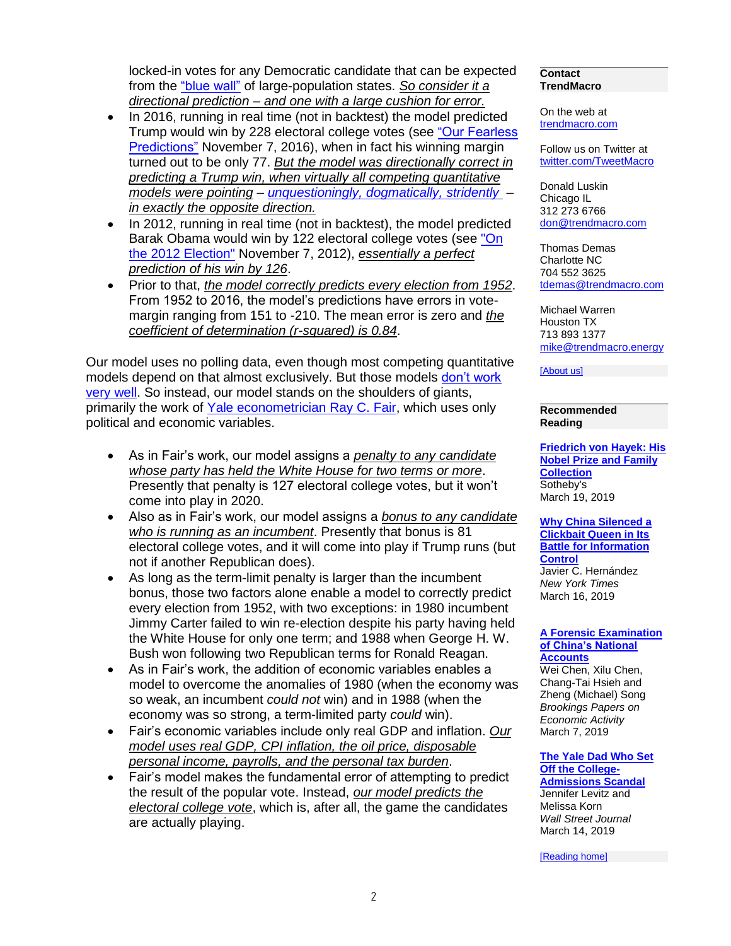locked-in votes for any Democratic candidate that can be expected from the ["blue wall"](https://en.wikipedia.org/wiki/Blue_wall_(politics)) of large-population states. *So consider it a directional prediction – and one with a large cushion for error.*

- In 2016, running in real time (not in backtest) the model predicted Trump would win by 228 electoral college votes (see ["Our Fearless](http://tmac.ro/2fvSACk)  [Predictions"](http://tmac.ro/2fvSACk) November 7, 2016), when in fact his winning margin turned out to be only 77. *But the model was directionally correct in predicting a Trump win, when virtually all competing quantitative models were pointing* – *unquestioningly, [dogmatically, stridently](file:///C:/Users/Donald/Dropbox%20(TrendMacro)/DBDocuments/My%20Webs/TrendMacro.com/luskin/msWord/From%20%3chttp:/fivethirtyeight.com/features/the-cubs-have-a-smaller-chance-of-winning-than-trump-does/)* – *in exactly the opposite direction.*
- In 2012, running in real time (not in backtest), the model predicted Barak Obama would win by 122 electoral college votes (see ["On](http://tmac.ro/RVxo4j)  [the 2012 Election"](http://tmac.ro/RVxo4j) November 7, 2012), *essentially a perfect prediction of his win by 126*.
- Prior to that, *the model correctly predicts every election from 1952*. From 1952 to 2016, the model's predictions have errors in votemargin ranging from 151 to -210. The mean error is zero and *the coefficient of determination (r-squared) is 0.84*.

Our model uses no polling data, even though most competing quantitative models depend on that almost exclusively. But those models [don't work](http://fivethirtyeight.com/features/final-election-update-theres-a-wide-range-of-outcomes-and-most-of-them-come-up-clinton/)  [very well.](http://fivethirtyeight.com/features/final-election-update-theres-a-wide-range-of-outcomes-and-most-of-them-come-up-clinton/) So instead, our model stands on the shoulders of giants, primarily the work of [Yale econometrician Ray](https://fairmodel.econ.yale.edu/) C. Fair, which uses only political and economic variables.

- As in Fair's work, our model assigns a *penalty to any candidate whose party has held the White House for two terms or more*. Presently that penalty is 127 electoral college votes, but it won't come into play in 2020.
- Also as in Fair's work, our model assigns a *bonus to any candidate who is running as an incumbent*. Presently that bonus is 81 electoral college votes, and it will come into play if Trump runs (but not if another Republican does).
- As long as the term-limit penalty is larger than the incumbent bonus, those two factors alone enable a model to correctly predict every election from 1952, with two exceptions: in 1980 incumbent Jimmy Carter failed to win re-election despite his party having held the White House for only one term; and 1988 when George H. W. Bush won following two Republican terms for Ronald Reagan.
- As in Fair's work, the addition of economic variables enables a model to overcome the anomalies of 1980 (when the economy was so weak, an incumbent *could not* win) and in 1988 (when the economy was so strong, a term-limited party *could* win).
- Fair's economic variables include only real GDP and inflation. *Our model uses real GDP, CPI inflation, the oil price, disposable personal income, payrolls, and the personal tax burden*.
- Fair's model makes the fundamental error of attempting to predict the result of the popular vote. Instead, *our model predicts the electoral college vote*, which is, after all, the game the candidates are actually playing.

## **Contact TrendMacro**

On the web at [trendmacro.com](http://www.trendmacro.com/)

Follow us on Twitter at [twitter.com/TweetMacro](https://twitter.com/#!/TweetMacro)

Donald Luskin Chicago IL 312 273 6766 [don@trendmacro.com](mailto:don@trendmacro.com)

Thomas Demas Charlotte NC 704 552 3625 [tdemas@trendmacro.com](mailto:tdemas@trendmacro.com)

Michael Warren Houston TX 713 893 1377 [mike@trendmacro.energy](mailto:mike@trendmacro.energy)

[\[About us\]](http://trendmacro.com/about/what-we-do)

**Recommended Reading**

**[Friedrich von Hayek: His](https://www.sothebys.com/buy/7cc2e7e9-a8cf-4575-a67f-35dfc7b660ce)  [Nobel Prize and Family](https://www.sothebys.com/buy/7cc2e7e9-a8cf-4575-a67f-35dfc7b660ce)  [Collection](https://www.sothebys.com/buy/7cc2e7e9-a8cf-4575-a67f-35dfc7b660ce)** Sotheby's March 19, 2019

**[Why China Silenced a](https://www.nytimes.com/2019/03/16/world/asia/china-bloggers-internet.html)  [Clickbait Queen in Its](https://www.nytimes.com/2019/03/16/world/asia/china-bloggers-internet.html)  [Battle for Information](https://www.nytimes.com/2019/03/16/world/asia/china-bloggers-internet.html)  [Control](https://www.nytimes.com/2019/03/16/world/asia/china-bloggers-internet.html)** Javier C. Hernández *New York Times* March 16, 2019

## **[A Forensic Examination](https://www.brookings.edu/wp-content/uploads/2019/03/BPEA-2019-Forensic-Analysis-China.pdf)  [of China's National](https://www.brookings.edu/wp-content/uploads/2019/03/BPEA-2019-Forensic-Analysis-China.pdf)  [Accounts](https://www.brookings.edu/wp-content/uploads/2019/03/BPEA-2019-Forensic-Analysis-China.pdf)**

Wei Chen, Xilu Chen, Chang-Tai Hsieh and Zheng (Michael) Song *Brookings Papers on Economic Activity* March 7, 2019

**[The Yale Dad Who Set](https://www.wsj.com/articles/the-yale-dad-who-set-off-the-college-admissions-scandal-11552588402)  [Off the College-](https://www.wsj.com/articles/the-yale-dad-who-set-off-the-college-admissions-scandal-11552588402)[Admissions Scandal](https://www.wsj.com/articles/the-yale-dad-who-set-off-the-college-admissions-scandal-11552588402)**

Jennifer Levitz and Melissa Korn *Wall Street Journal* March 14, 2019

[\[Reading home\]](http://trendmacro.com/recommended-reading)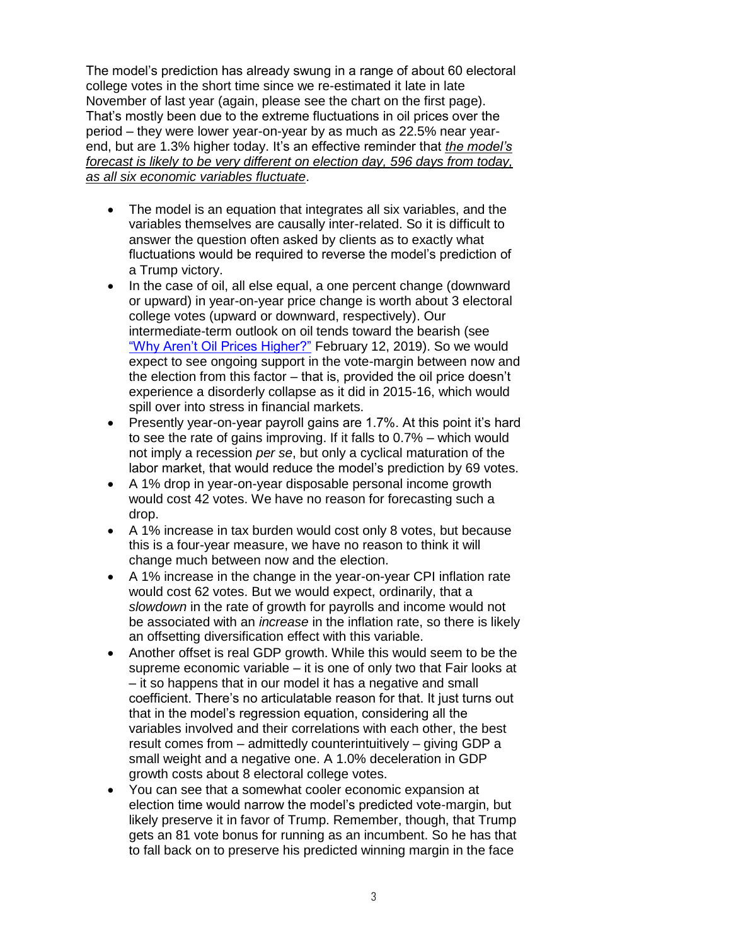The model's prediction has already swung in a range of about 60 electoral college votes in the short time since we re-estimated it late in late November of last year (again, please see the chart on the first page). That's mostly been due to the extreme fluctuations in oil prices over the period – they were lower year-on-year by as much as 22.5% near yearend, but are 1.3% higher today. It's an effective reminder that *the model's forecast is likely to be very different on election day, 596 days from today, as all six economic variables fluctuate*.

- The model is an equation that integrates all six variables, and the variables themselves are causally inter-related. So it is difficult to answer the question often asked by clients as to exactly what fluctuations would be required to reverse the model's prediction of a Trump victory.
- In the case of oil, all else equal, a one percent change (downward or upward) in year-on-year price change is worth about 3 electoral college votes (upward or downward, respectively). Our intermediate-term outlook on oil tends toward the bearish (see ["Why Aren't Oil Prices Higher?"](https://tmac.ro/2BB1BpD) February 12, 2019). So we would expect to see ongoing support in the vote-margin between now and the election from this factor – that is, provided the oil price doesn't experience a disorderly collapse as it did in 2015-16, which would spill over into stress in financial markets.
- Presently year-on-year payroll gains are 1.7%. At this point it's hard to see the rate of gains improving. If it falls to 0.7% – which would not imply a recession *per se*, but only a cyclical maturation of the labor market, that would reduce the model's prediction by 69 votes.
- A 1% drop in year-on-year disposable personal income growth would cost 42 votes. We have no reason for forecasting such a drop.
- A 1% increase in tax burden would cost only 8 votes, but because this is a four-year measure, we have no reason to think it will change much between now and the election.
- A 1% increase in the change in the year-on-year CPI inflation rate would cost 62 votes. But we would expect, ordinarily, that a *slowdown* in the rate of growth for payrolls and income would not be associated with an *increase* in the inflation rate, so there is likely an offsetting diversification effect with this variable.
- Another offset is real GDP growth. While this would seem to be the supreme economic variable – it is one of only two that Fair looks at – it so happens that in our model it has a negative and small coefficient. There's no articulatable reason for that. It just turns out that in the model's regression equation, considering all the variables involved and their correlations with each other, the best result comes from – admittedly counterintuitively – giving GDP a small weight and a negative one. A 1.0% deceleration in GDP growth costs about 8 electoral college votes.
- You can see that a somewhat cooler economic expansion at election time would narrow the model's predicted vote-margin, but likely preserve it in favor of Trump. Remember, though, that Trump gets an 81 vote bonus for running as an incumbent. So he has that to fall back on to preserve his predicted winning margin in the face